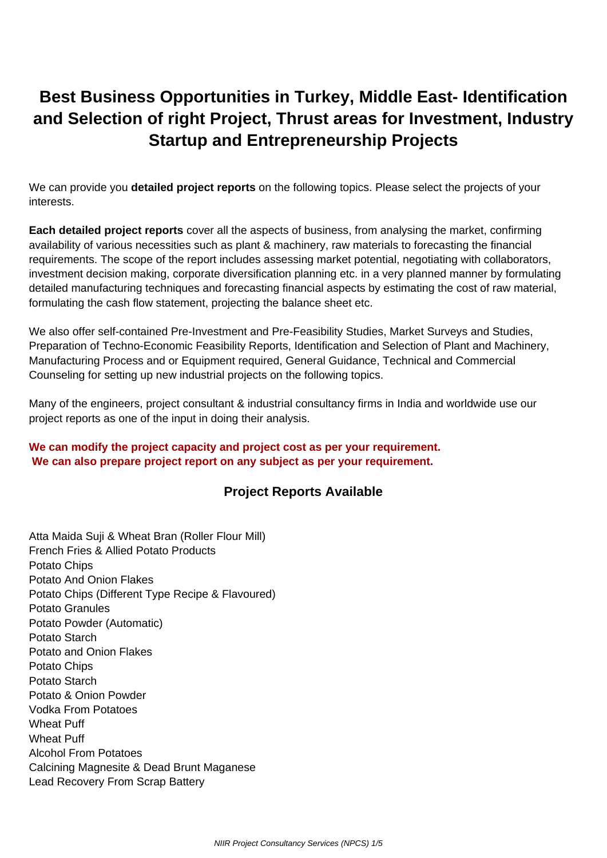# <span id="page-0-0"></span>**Best Business Opportunities in Turkey, Middle East- Identification and Selection of right Project, Thrust areas for Investment, Industry Startup and Entrepreneurship Projects**

We can provide you **detailed project reports** on the following topics. Please select the projects of your interests.

**Each detailed project reports** cover all the aspects of business, from analysing the market, confirming availability of various necessities such as plant & machinery, raw materials to forecasting the financial requirements. The scope of the report includes assessing market potential, negotiating with collaborators, investment decision making, corporate diversification planning etc. in a very planned manner by formulating detailed manufacturing techniques and forecasting financial aspects by estimating the cost of raw material, formulating the cash flow statement, projecting the balance sheet etc.

We also offer self-contained Pre-Investment and Pre-Feasibility Studies, Market Surveys and Studies, Preparation of Techno-Economic Feasibility Reports, Identification and Selection of Plant and Machinery, Manufacturing Process and or Equipment required, General Guidance, Technical and Commercial Counseling for setting up new industrial projects on the following topics.

Many of the engineers, project consultant & industrial consultancy firms in India and worldwide use our project reports as one of the input in doing their analysis.

### **We can modify the project capacity and project cost as per your requirement. We can also prepare project report on any subject as per your requirement.**

## **Project Reports Available**

Atta Maida Suji & Wheat Bran (Roller Flour Mill) French Fries & Allied Potato Products Potato Chips Potato And Onion Flakes Potato Chips (Different Type Recipe & Flavoured) Potato Granules Potato Powder (Automatic) Potato Starch Potato and Onion Flakes Potato Chips Potato Starch Potato & Onion Powder Vodka From Potatoes Wheat Puff Wheat Puff Alcohol From Potatoes Calcining Magnesite & Dead Brunt Maganese Lead Recovery From Scrap Battery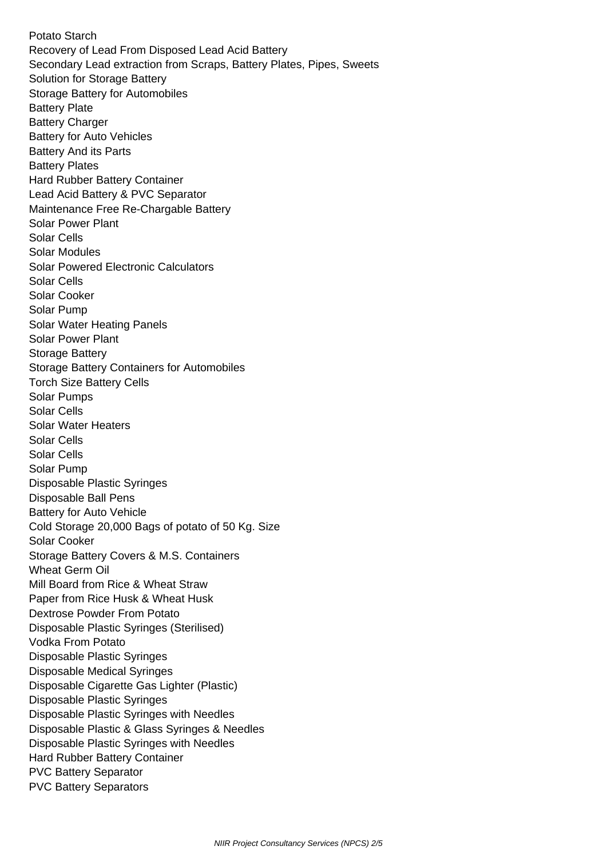Potato Starch Recovery of Lead From Disposed Lead Acid Battery Secondary Lead extraction from Scraps, Battery Plates, Pipes, Sweets Solution for Storage Battery Storage Battery for Automobiles Battery Plate Battery Charger Battery for Auto Vehicles Battery And its Parts Battery Plates Hard Rubber Battery Container Lead Acid Battery & PVC Separator Maintenance Free Re-Chargable Battery Solar Power Plant Solar Cells Solar Modules Solar Powered Electronic Calculators Solar Cells Solar Cooker Solar Pump Solar Water Heating Panels Solar Power Plant Storage Battery Storage Battery Containers for Automobiles Torch Size Battery Cells Solar Pumps Solar Cells Solar Water Heaters Solar Cells Solar Cells Solar Pump Disposable Plastic Syringes Disposable Ball Pens Battery for Auto Vehicle Cold Storage 20,000 Bags of potato of 50 Kg. Size Solar Cooker Storage Battery Covers & M.S. Containers Wheat Germ Oil Mill Board from Rice & Wheat Straw Paper from Rice Husk & Wheat Husk Dextrose Powder From Potato Disposable Plastic Syringes (Sterilised) Vodka From Potato Disposable Plastic Syringes Disposable Medical Syringes Disposable Cigarette Gas Lighter (Plastic) Disposable Plastic Syringes Disposable Plastic Syringes with Needles Disposable Plastic & Glass Syringes & Needles Disposable Plastic Syringes with Needles Hard Rubber Battery Container PVC Battery Separator PVC Battery Separators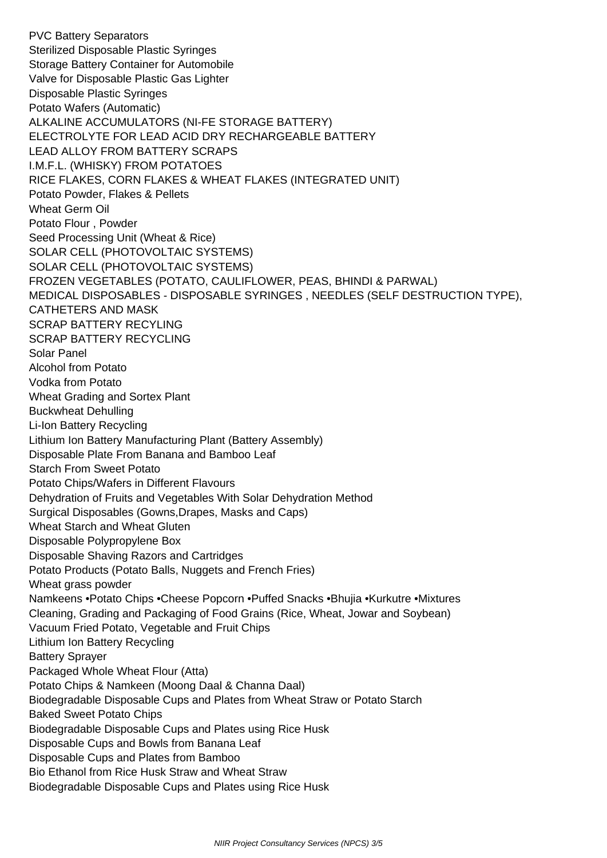PVC Battery Separators Sterilized Disposable Plastic Syringes Storage Battery Container for Automobile Valve for Disposable Plastic Gas Lighter Disposable Plastic Syringes Potato Wafers (Automatic) ALKALINE ACCUMULATORS (NI-FE STORAGE BATTERY) ELECTROLYTE FOR LEAD ACID DRY RECHARGEABLE BATTERY LEAD ALLOY FROM BATTERY SCRAPS I.M.F.L. (WHISKY) FROM POTATOES RICE FLAKES, CORN FLAKES & WHEAT FLAKES (INTEGRATED UNIT) Potato Powder, Flakes & Pellets Wheat Germ Oil Potato Flour , Powder Seed Processing Unit (Wheat & Rice) SOLAR CELL (PHOTOVOLTAIC SYSTEMS) SOLAR CELL (PHOTOVOLTAIC SYSTEMS) FROZEN VEGETABLES (POTATO, CAULIFLOWER, PEAS, BHINDI & PARWAL) MEDICAL DISPOSABLES - DISPOSABLE SYRINGES , NEEDLES (SELF DESTRUCTION TYPE), CATHETERS AND MASK SCRAP BATTERY RECYLING SCRAP BATTERY RECYCLING Solar Panel Alcohol from Potato Vodka from Potato Wheat Grading and Sortex Plant Buckwheat Dehulling Li-Ion Battery Recycling Lithium Ion Battery Manufacturing Plant (Battery Assembly) Disposable Plate From Banana and Bamboo Leaf Starch From Sweet Potato Potato Chips/Wafers in Different Flavours Dehydration of Fruits and Vegetables With Solar Dehydration Method Surgical Disposables (Gowns,Drapes, Masks and Caps) Wheat Starch and Wheat Gluten Disposable Polypropylene Box Disposable Shaving Razors and Cartridges Potato Products (Potato Balls, Nuggets and French Fries) Wheat grass powder Namkeens •Potato Chips •Cheese Popcorn •Puffed Snacks •Bhujia •Kurkutre •Mixtures Cleaning, Grading and Packaging of Food Grains (Rice, Wheat, Jowar and Soybean) Vacuum Fried Potato, Vegetable and Fruit Chips Lithium Ion Battery Recycling Battery Sprayer Packaged Whole Wheat Flour (Atta) Potato Chips & Namkeen (Moong Daal & Channa Daal) Biodegradable Disposable Cups and Plates from Wheat Straw or Potato Starch Baked Sweet Potato Chips Biodegradable Disposable Cups and Plates using Rice Husk Disposable Cups and Bowls from Banana Leaf Disposable Cups and Plates from Bamboo Bio Ethanol from Rice Husk Straw and Wheat Straw Biodegradable Disposable Cups and Plates using Rice Husk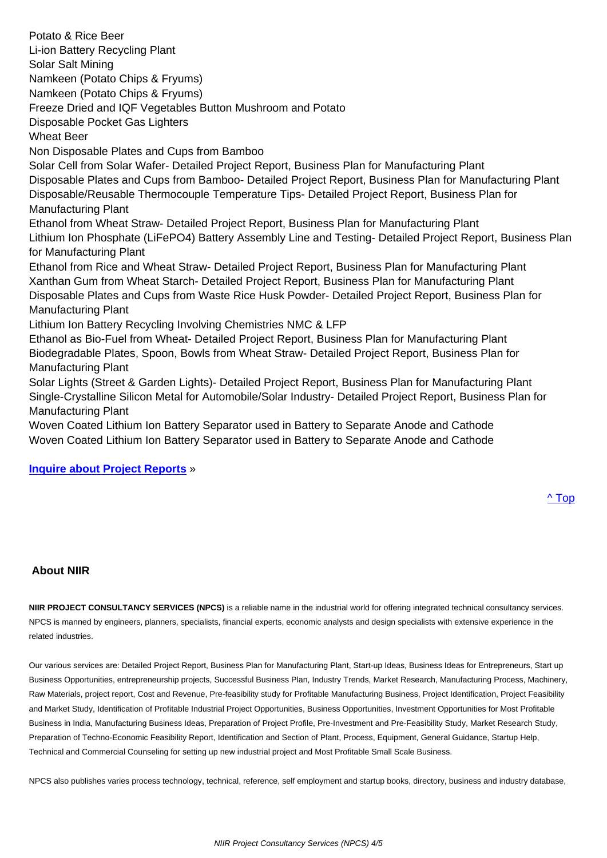Li-ion Battery Recycling Plant Solar Salt Mining Namkeen (Potato Chips & Fryums) Namkeen (Potato Chips & Fryums) Freeze Dried and IQF Vegetables Button Mushroom and Potato Disposable Pocket Gas Lighters Wheat Beer Non Disposable Plates and Cups from Bamboo Solar Cell from Solar Wafer- Detailed Project Report, Business Plan for Manufacturing Plant Disposable Plates and Cups from Bamboo- Detailed Project Report, Business Plan for Manufacturing Plant Disposable/Reusable Thermocouple Temperature Tips- Detailed Project Report, Business Plan for Manufacturing Plant Ethanol from Wheat Straw- Detailed Project Report, Business Plan for Manufacturing Plant Lithium Ion Phosphate (LiFePO4) Battery Assembly Line and Testing- Detailed Project Report, Business Plan for Manufacturing Plant Ethanol from Rice and Wheat Straw- Detailed Project Report, Business Plan for Manufacturing Plant Xanthan Gum from Wheat Starch- Detailed Project Report, Business Plan for Manufacturing Plant Disposable Plates and Cups from Waste Rice Husk Powder- Detailed Project Report, Business Plan for Manufacturing Plant Lithium Ion Battery Recycling Involving Chemistries NMC & LFP Ethanol as Bio-Fuel from Wheat- Detailed Project Report, Business Plan for Manufacturing Plant Biodegradable Plates, Spoon, Bowls from Wheat Straw- Detailed Project Report, Business Plan for Manufacturing Plant Solar Lights (Street & Garden Lights)- Detailed Project Report, Business Plan for Manufacturing Plant Single-Crystalline Silicon Metal for Automobile/Solar Industry- Detailed Project Report, Business Plan for Manufacturing Plant

Woven Coated Lithium Ion Battery Separator used in Battery to Separate Anode and Cathode Woven Coated Lithium Ion Battery Separator used in Battery to Separate Anode and Cathode

#### **Inquire about Project Reports** »

### **About NIIR**

**NIIR PROJECT CONSULTANCY SERVICES (NPCS)** is a reliable name in the industrial world for offering integrated technical consultancy services. NPCS is manned by engineers, planners, specialists, financial experts, economic analysts and design specialists with extensive experience in the related industries.

Our various services are: Detailed Project Report, Business Plan for Manufacturing Plant, Start-up Ideas, Business Ideas for Entrepreneurs, Start up Business Opportunities, entrepreneurship projects, Successful Business Plan, Industry Trends, Market Research, Manufacturing Process, Machinery, Raw Materials, project report, Cost and Revenue, Pre-feasibility study for Profitable Manufacturing Business, Project Identification, Project Feasibility and Market Study, Identification of Profitable Industrial Project Opportunities, Business Opportunities, Investment Opportunities for Most Profitable Business in India, Manufacturing Business Ideas, Preparation of Project Profile, Pre-Investment and Pre-Feasibility Study, Market Research Study, Preparation of Techno-Economic Feasibility Report, Identification and Section of Plant, Process, Equipment, General Guidance, Startup Help, Technical and Commercial Counseling for setting up new industrial project and Most Profitable Small Scale Business.

NPCS also publishes varies process technology, technical, reference, self employment and startup books, directory, business and industry database,